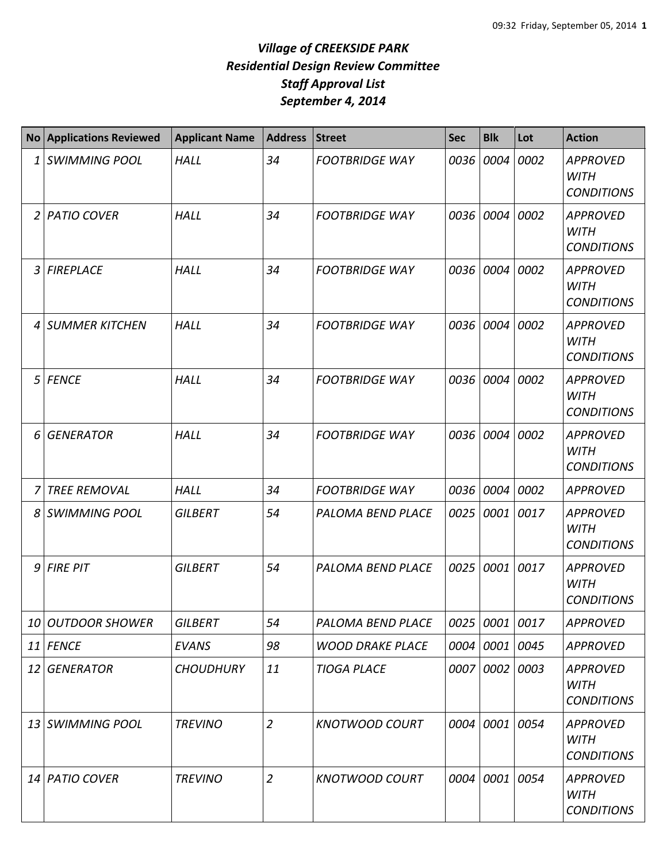|                | <b>No Applications Reviewed</b> | <b>Applicant Name</b> | <b>Address</b> | <b>Street</b>           | <b>Sec</b> | <b>Blk</b>     | Lot  | <b>Action</b>                                       |
|----------------|---------------------------------|-----------------------|----------------|-------------------------|------------|----------------|------|-----------------------------------------------------|
| 1              | <b>SWIMMING POOL</b>            | <b>HALL</b>           | 34             | <b>FOOTBRIDGE WAY</b>   |            | 0036 0004      | 0002 | <b>APPROVED</b><br><b>WITH</b><br><b>CONDITIONS</b> |
| $\overline{2}$ | <b>PATIO COVER</b>              | <b>HALL</b>           | 34             | <b>FOOTBRIDGE WAY</b>   |            | 0036 0004      | 0002 | <b>APPROVED</b><br><b>WITH</b><br><b>CONDITIONS</b> |
| 3              | <b>FIREPLACE</b>                | <b>HALL</b>           | 34             | <b>FOOTBRIDGE WAY</b>   |            | 0036 0004      | 0002 | <b>APPROVED</b><br><b>WITH</b><br><b>CONDITIONS</b> |
| 4              | <b>SUMMER KITCHEN</b>           | <b>HALL</b>           | 34             | <b>FOOTBRIDGE WAY</b>   | 0036       | 0004           | 0002 | <b>APPROVED</b><br><b>WITH</b><br><b>CONDITIONS</b> |
| 5              | <b>FENCE</b>                    | <b>HALL</b>           | 34             | <b>FOOTBRIDGE WAY</b>   |            | 0036 0004      | 0002 | <b>APPROVED</b><br><b>WITH</b><br><b>CONDITIONS</b> |
| 6              | <b>GENERATOR</b>                | <b>HALL</b>           | 34             | <b>FOOTBRIDGE WAY</b>   |            | 0036 0004      | 0002 | <b>APPROVED</b><br><b>WITH</b><br><b>CONDITIONS</b> |
|                | <b>TREE REMOVAL</b>             | <b>HALL</b>           | 34             | <b>FOOTBRIDGE WAY</b>   |            | 0036 0004      | 0002 | <b>APPROVED</b>                                     |
| 8              | <b>SWIMMING POOL</b>            | <b>GILBERT</b>        | 54             | PALOMA BEND PLACE       | 0025       | 0001           | 0017 | <b>APPROVED</b><br><b>WITH</b><br><b>CONDITIONS</b> |
| 9              | <b>FIRE PIT</b>                 | <b>GILBERT</b>        | 54             | PALOMA BEND PLACE       |            | 0025 0001      | 0017 | <b>APPROVED</b><br><b>WITH</b><br><b>CONDITIONS</b> |
| 10             | <b>OUTDOOR SHOWER</b>           | <b>GILBERT</b>        | 54             | PALOMA BEND PLACE       |            | 0025 0001 0017 |      | <b>APPROVED</b>                                     |
|                | $11$ FENCE                      | <b>EVANS</b>          | 98             | <b>WOOD DRAKE PLACE</b> |            | 0004 0001      | 0045 | <b>APPROVED</b>                                     |
| 12             | <b>GENERATOR</b>                | <b>CHOUDHURY</b>      | 11             | <b>TIOGA PLACE</b>      |            | 0007 0002      | 0003 | <b>APPROVED</b><br><b>WITH</b><br><b>CONDITIONS</b> |
|                | 13 SWIMMING POOL                | <b>TREVINO</b>        | $\overline{2}$ | <b>KNOTWOOD COURT</b>   |            | 0004 0001      | 0054 | <b>APPROVED</b><br><b>WITH</b><br><b>CONDITIONS</b> |
|                | 14 PATIO COVER                  | <b>TREVINO</b>        | $\overline{2}$ | <b>KNOTWOOD COURT</b>   |            | 0004 0001      | 0054 | <b>APPROVED</b><br><b>WITH</b><br><b>CONDITIONS</b> |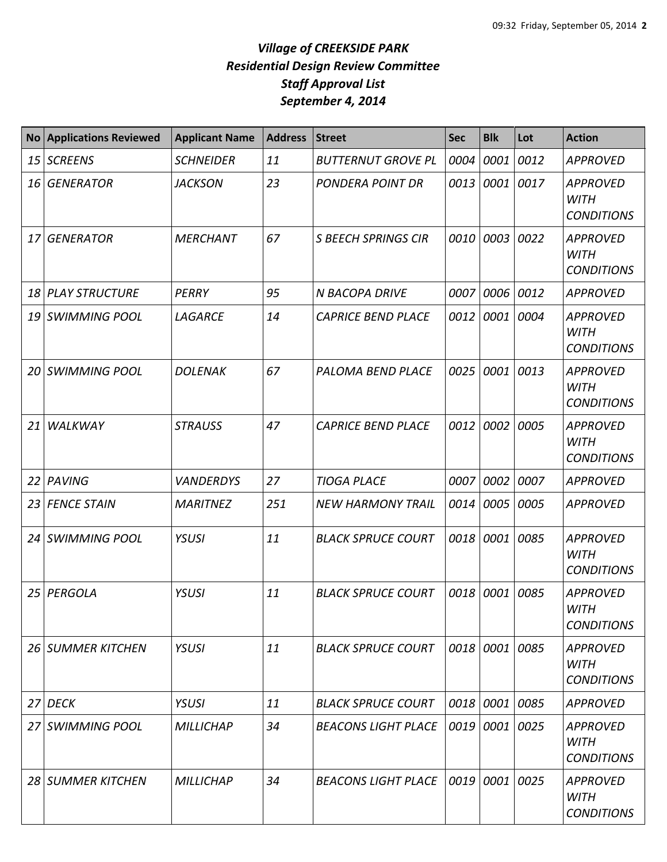| <b>No</b> | <b>Applications Reviewed</b> | <b>Applicant Name</b> | <b>Address</b> | <b>Street</b>              | Sec  | <b>Blk</b>     | Lot  | <b>Action</b>                                       |
|-----------|------------------------------|-----------------------|----------------|----------------------------|------|----------------|------|-----------------------------------------------------|
| 15        | <b>SCREENS</b>               | <b>SCHNEIDER</b>      | 11             | <b>BUTTERNUT GROVE PL</b>  | 0004 | 0001           | 0012 | <b>APPROVED</b>                                     |
| 16        | <b>GENERATOR</b>             | <b>JACKSON</b>        | 23             | <b>PONDERA POINT DR</b>    | 0013 | 0001           | 0017 | <b>APPROVED</b><br><b>WITH</b><br><b>CONDITIONS</b> |
| 17        | <b>GENERATOR</b>             | <b>MERCHANT</b>       | 67             | <b>S BEECH SPRINGS CIR</b> | 0010 | 0003           | 0022 | <b>APPROVED</b><br><b>WITH</b><br><b>CONDITIONS</b> |
| 18        | <b>PLAY STRUCTURE</b>        | PERRY                 | 95             | <b>N BACOPA DRIVE</b>      | 0007 | 0006           | 0012 | <b>APPROVED</b>                                     |
| 19        | <b>SWIMMING POOL</b>         | LAGARCE               | 14             | <b>CAPRICE BEND PLACE</b>  | 0012 | 0001           | 0004 | <b>APPROVED</b><br><b>WITH</b><br><b>CONDITIONS</b> |
| 20        | <b>SWIMMING POOL</b>         | <b>DOLENAK</b>        | 67             | PALOMA BEND PLACE          | 0025 | 0001           | 0013 | <b>APPROVED</b><br><b>WITH</b><br><b>CONDITIONS</b> |
| 21        | WALKWAY                      | <b>STRAUSS</b>        | 47             | <b>CAPRICE BEND PLACE</b>  | 0012 | 0002           | 0005 | <b>APPROVED</b><br><b>WITH</b><br><b>CONDITIONS</b> |
| 22        | PAVING                       | <b>VANDERDYS</b>      | 27             | <b>TIOGA PLACE</b>         | 0007 | 0002           | 0007 | <b>APPROVED</b>                                     |
| 23        | <b>FENCE STAIN</b>           | <b>MARITNEZ</b>       | 251            | <b>NEW HARMONY TRAIL</b>   | 0014 | 0005           | 0005 | <b>APPROVED</b>                                     |
| 24        | <b>SWIMMING POOL</b>         | YSUSI                 | 11             | <b>BLACK SPRUCE COURT</b>  | 0018 | 0001           | 0085 | <b>APPROVED</b><br><b>WITH</b><br><b>CONDITIONS</b> |
| 25        | PERGOLA                      | YSUSI                 | 11             | <b>BLACK SPRUCE COURT</b>  | 0018 | 0001           | 0085 | <b>APPROVED</b><br><b>WITH</b><br><b>CONDITIONS</b> |
|           | 26 SUMMER KITCHEN            | YSUSI                 | 11             | <b>BLACK SPRUCE COURT</b>  |      | 0018 0001 0085 |      | <b>APPROVED</b><br>WITH<br><b>CONDITIONS</b>        |
|           | 27 DECK                      | YSUSI                 | 11             | <b>BLACK SPRUCE COURT</b>  | 0018 | 0001 0085      |      | <b>APPROVED</b>                                     |
|           | 27 SWIMMING POOL             | <b>MILLICHAP</b>      | 34             | <b>BEACONS LIGHT PLACE</b> |      | 0019 0001 0025 |      | <b>APPROVED</b><br><b>WITH</b><br><b>CONDITIONS</b> |
|           | 28 SUMMER KITCHEN            | <b>MILLICHAP</b>      | 34             | <b>BEACONS LIGHT PLACE</b> | 0019 | 0001           | 0025 | <b>APPROVED</b><br><b>WITH</b><br><b>CONDITIONS</b> |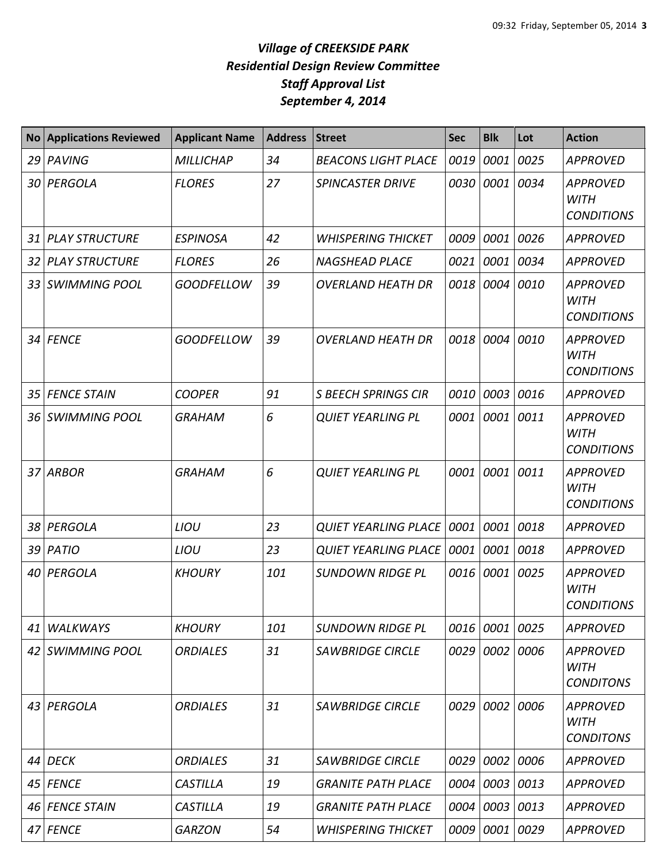| <b>No</b> | <b>Applications Reviewed</b> | <b>Applicant Name</b> | <b>Address</b> | <b>Street</b>               | <b>Sec</b> | <b>Blk</b>     | Lot  | <b>Action</b>                                       |
|-----------|------------------------------|-----------------------|----------------|-----------------------------|------------|----------------|------|-----------------------------------------------------|
| 29        | PAVING                       | <b>MILLICHAP</b>      | 34             | <b>BEACONS LIGHT PLACE</b>  | 0019       | 0001           | 0025 | <b>APPROVED</b>                                     |
|           | 30 PERGOLA                   | <b>FLORES</b>         | 27             | <b>SPINCASTER DRIVE</b>     | 0030       | 0001           | 0034 | <b>APPROVED</b><br><b>WITH</b><br><b>CONDITIONS</b> |
| 31        | <b>PLAY STRUCTURE</b>        | <b>ESPINOSA</b>       | 42             | <b>WHISPERING THICKET</b>   | 0009       | 0001           | 0026 | <b>APPROVED</b>                                     |
| 32        | <b>PLAY STRUCTURE</b>        | <b>FLORES</b>         | 26             | <b>NAGSHEAD PLACE</b>       | 0021       | 0001           | 0034 | <b>APPROVED</b>                                     |
| 33        | <b>SWIMMING POOL</b>         | <b>GOODFELLOW</b>     | 39             | <b>OVERLAND HEATH DR</b>    | 0018       | 0004           | 0010 | <b>APPROVED</b><br><b>WITH</b><br><b>CONDITIONS</b> |
| 34        | <b>FENCE</b>                 | <b>GOODFELLOW</b>     | 39             | <b>OVERLAND HEATH DR</b>    | 0018       | 0004           | 0010 | <b>APPROVED</b><br><b>WITH</b><br><b>CONDITIONS</b> |
| 35        | <b>FENCE STAIN</b>           | <b>COOPER</b>         | 91             | <b>S BEECH SPRINGS CIR</b>  | 0010       | 0003           | 0016 | <b>APPROVED</b>                                     |
| 36        | <b>SWIMMING POOL</b>         | <b>GRAHAM</b>         | 6              | <b>QUIET YEARLING PL</b>    | 0001       | 0001 0011      |      | <b>APPROVED</b><br><b>WITH</b><br><b>CONDITIONS</b> |
| 37        | <b>ARBOR</b>                 | <b>GRAHAM</b>         | 6              | <b>QUIET YEARLING PL</b>    | 0001       | 0001           | 0011 | <b>APPROVED</b><br><b>WITH</b><br><b>CONDITIONS</b> |
| 38        | PERGOLA                      | LIOU                  | 23             | <b>QUIET YEARLING PLACE</b> | 0001       | 0001           | 0018 | APPROVED                                            |
| 39        | PATIO                        | <b>LIOU</b>           | 23             | <b>QUIET YEARLING PLACE</b> | 0001       | 0001 0018      |      | <b>APPROVED</b>                                     |
| 40        | PERGOLA                      | <b>KHOURY</b>         | 101            | <b>SUNDOWN RIDGE PL</b>     | 0016       | 0001           | 0025 | <b>APPROVED</b><br><b>WITH</b><br><b>CONDITIONS</b> |
| 41        | <b>WALKWAYS</b>              | <b>KHOURY</b>         | 101            | <b>SUNDOWN RIDGE PL</b>     | 0016       | 0001 0025      |      | APPROVED                                            |
|           | 42 SWIMMING POOL             | <b>ORDIALES</b>       | 31             | <b>SAWBRIDGE CIRCLE</b>     | 0029       | 0002 0006      |      | <b>APPROVED</b><br><b>WITH</b><br><b>CONDITONS</b>  |
|           | 43 PERGOLA                   | <b>ORDIALES</b>       | 31             | <b>SAWBRIDGE CIRCLE</b>     | 0029       | 0002           | 0006 | <b>APPROVED</b><br><b>WITH</b><br><b>CONDITONS</b>  |
| 44        | <b>DECK</b>                  | <b>ORDIALES</b>       | 31             | <b>SAWBRIDGE CIRCLE</b>     | 0029       | 0002           | 0006 | <b>APPROVED</b>                                     |
|           | 45 FENCE                     | <b>CASTILLA</b>       | 19             | <b>GRANITE PATH PLACE</b>   | 0004       | 0003 0013      |      | <b>APPROVED</b>                                     |
| 46        | <b>FENCE STAIN</b>           | <b>CASTILLA</b>       | 19             | <b>GRANITE PATH PLACE</b>   | 0004       | 0003 0013      |      | <b>APPROVED</b>                                     |
|           | 47 FENCE                     | <b>GARZON</b>         | 54             | <b>WHISPERING THICKET</b>   |            | 0009 0001 0029 |      | <b>APPROVED</b>                                     |